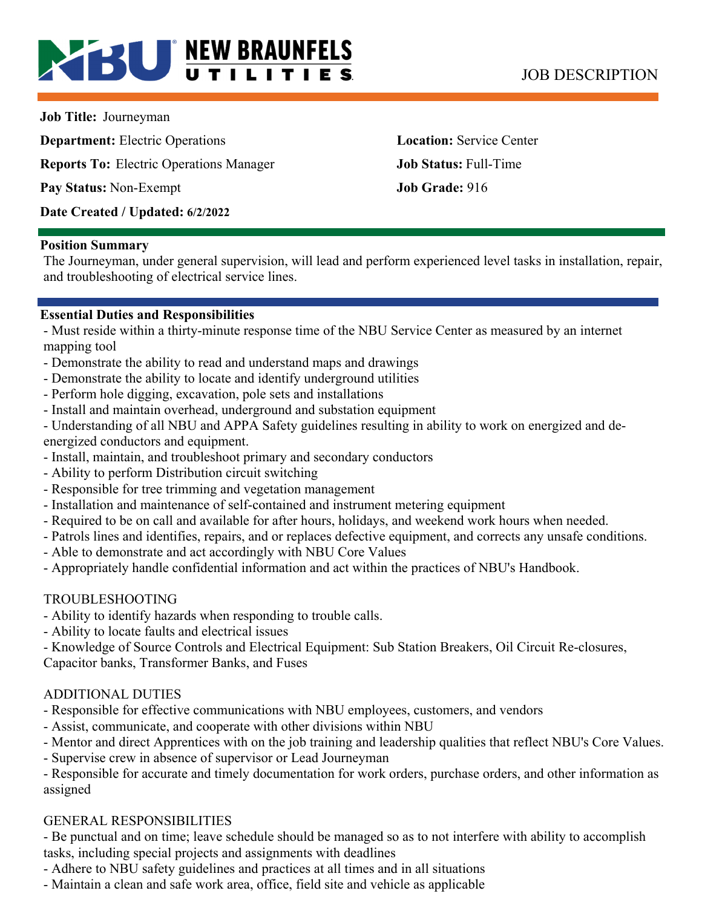# **BU NEW BRAUNFELS** JOB DESCRIPTION

**Job Title:** Journeyman

**Department:** Electric Operations **Location:** Service Center **Reports To:** Electric Operations Manager **Job Status:** Full-Time **Pay Status:** Non-Exempt **Job Grade:** 916 **Date Created / Updated: 6/2/2022** 

#### **Position Summary**

The Journeyman, under general supervision, will lead and perform experienced level tasks in installation, repair, and troubleshooting of electrical service lines.

#### **Essential Duties and Responsibilities**

- Must reside within a thirty-minute response time of the NBU Service Center as measured by an internet mapping tool

- Demonstrate the ability to read and understand maps and drawings
- Demonstrate the ability to locate and identify underground utilities
- Perform hole digging, excavation, pole sets and installations
- Install and maintain overhead, underground and substation equipment
- Understanding of all NBU and APPA Safety guidelines resulting in ability to work on energized and deenergized conductors and equipment.
- Install, maintain, and troubleshoot primary and secondary conductors
- Ability to perform Distribution circuit switching
- Responsible for tree trimming and vegetation management
- Installation and maintenance of self-contained and instrument metering equipment
- Required to be on call and available for after hours, holidays, and weekend work hours when needed.
- Patrols lines and identifies, repairs, and or replaces defective equipment, and corrects any unsafe conditions.
- Able to demonstrate and act accordingly with NBU Core Values
- Appropriately handle confidential information and act within the practices of NBU's Handbook.

## TROUBLESHOOTING

- Ability to identify hazards when responding to trouble calls.
- Ability to locate faults and electrical issues
- Knowledge of Source Controls and Electrical Equipment: Sub Station Breakers, Oil Circuit Re-closures,

Capacitor banks, Transformer Banks, and Fuses

## ADDITIONAL DUTIES

- Responsible for effective communications with NBU employees, customers, and vendors
- Assist, communicate, and cooperate with other divisions within NBU
- Mentor and direct Apprentices with on the job training and leadership qualities that reflect NBU's Core Values.
- Supervise crew in absence of supervisor or Lead Journeyman

- Responsible for accurate and timely documentation for work orders, purchase orders, and other information as assigned

## GENERAL RESPONSIBILITIES

- Be punctual and on time; leave schedule should be managed so as to not interfere with ability to accomplish tasks, including special projects and assignments with deadlines

- Adhere to NBU safety guidelines and practices at all times and in all situations

- Maintain a clean and safe work area, office, field site and vehicle as applicable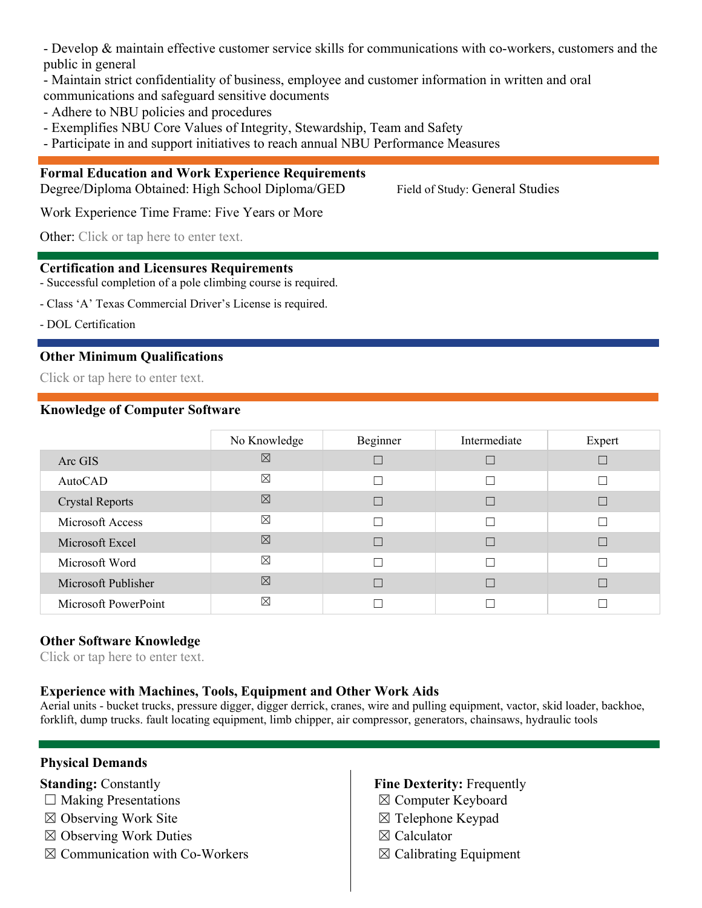- Develop & maintain effective customer service skills for communications with co-workers, customers and the public in general

- Maintain strict confidentiality of business, employee and customer information in written and oral

communications and safeguard sensitive documents

- Adhere to NBU policies and procedures
- Exemplifies NBU Core Values of Integrity, Stewardship, Team and Safety
- Participate in and support initiatives to reach annual NBU Performance Measures

#### **Formal Education and Work Experience Requirements**

Degree/Diploma Obtained: High School Diploma/GED Field of Study: General Studies

Work Experience Time Frame: Five Years or More

Other: Click or tap here to enter text.

#### **Certification and Licensures Requirements**

- Successful completion of a pole climbing course is required.

- Class 'A' Texas Commercial Driver's License is required.

- DOL Certification

#### **Other Minimum Qualifications**

Click or tap here to enter text.

#### **Knowledge of Computer Software**

|                        | No Knowledge | Beginner       | Intermediate | Expert |
|------------------------|--------------|----------------|--------------|--------|
| Arc GIS                | ⊠            |                | П            |        |
| AutoCAD                | ⊠            | $\blacksquare$ | П            |        |
| <b>Crystal Reports</b> | ⊠            |                | П            |        |
| Microsoft Access       | ⊠            |                | Г            |        |
| Microsoft Excel        | 区            |                | Г            |        |
| Microsoft Word         | $\boxtimes$  |                | П            |        |
| Microsoft Publisher    | ⊠            |                | П            |        |
| Microsoft PowerPoint   | ⊠            |                |              |        |

#### **Other Software Knowledge**

Click or tap here to enter text.

#### **Experience with Machines, Tools, Equipment and Other Work Aids**

Aerial units - bucket trucks, pressure digger, digger derrick, cranes, wire and pulling equipment, vactor, skid loader, backhoe, forklift, dump trucks. fault locating equipment, limb chipper, air compressor, generators, chainsaws, hydraulic tools

#### **Physical Demands**

#### **Standing: Constantly**

- $\Box$  Making Presentations
- ☒ Observing Work Site
- ☒ Observing Work Duties
- $\boxtimes$  Communication with Co-Workers

#### **Fine Dexterity:** Frequently

- ☒ Computer Keyboard
- ☒ Telephone Keypad
- ☒ Calculator
- $\boxtimes$  Calibrating Equipment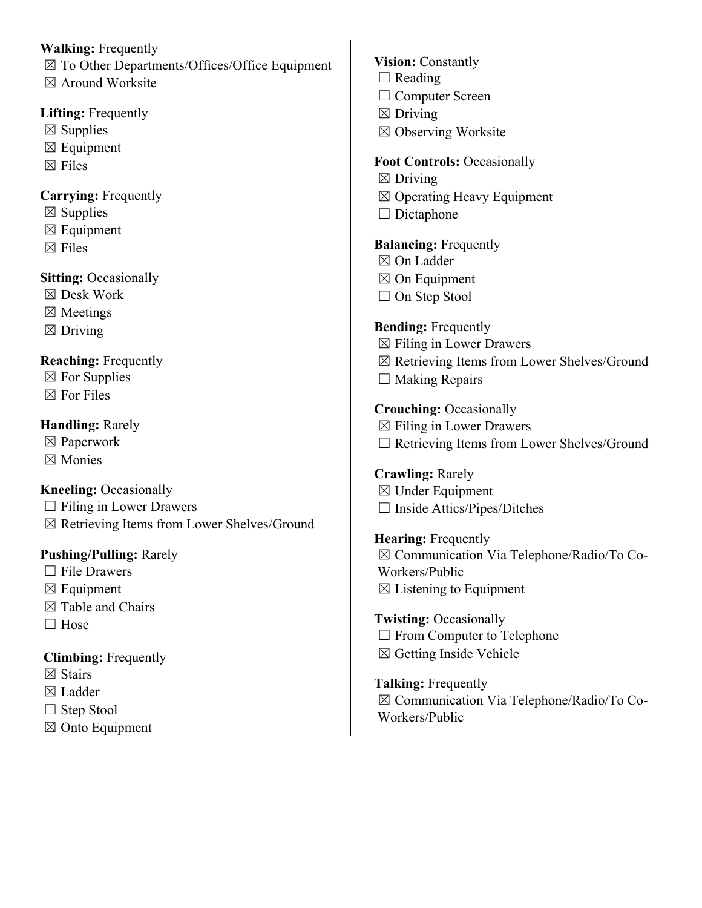**Walking:** Frequently ☒ To Other Departments/Offices/Office Equipment  $\boxtimes$  Around Worksite **Lifting:** Frequently

- $\boxtimes$  Supplies
- $\boxtimes$  Equipment
- $\boxtimes$  Files

## **Carrying:** Frequently

- $\boxtimes$  Supplies
- $\boxtimes$  Equipment
- $\boxtimes$  Files

## **Sitting: Occasionally**

- ☒ Desk Work
- ☒ Meetings
- $\boxtimes$  Driving

## **Reaching:** Frequently

- $\boxtimes$  For Supplies
- $\boxtimes$  For Files

## **Handling:** Rarely

- ☒ Paperwork
- ☒ Monies

## **Kneeling: Occasionally**

- $\Box$  Filing in Lower Drawers
- ☒ Retrieving Items from Lower Shelves/Ground

## **Pushing/Pulling:** Rarely

- □ File Drawers
- $\boxtimes$  Equipment
- $\boxtimes$  Table and Chairs
- □ Hose

## **Climbing:** Frequently

- $\boxtimes$  Stairs
- ☒ Ladder
- $\Box$  Step Stool
- $\boxtimes$  Onto Equipment
- **Vision:** Constantly  $\Box$  Reading □ Computer Screen  $\boxtimes$  Driving ☒ Observing Worksite **Foot Controls:** Occasionally  $\boxtimes$  Driving ☒ Operating Heavy Equipment □ Dictaphone **Balancing: Frequently** ☒ On Ladder ☒ On Equipment □ On Step Stool **Bending:** Frequently ☒ Filing in Lower Drawers ☒ Retrieving Items from Lower Shelves/Ground  $\Box$  Making Repairs **Crouching:** Occasionally  $\boxtimes$  Filing in Lower Drawers ☐ Retrieving Items from Lower Shelves/Ground **Crawling:** Rarely ☒ Under Equipment ☐ Inside Attics/Pipes/Ditches **Hearing:** Frequently ☒ Communication Via Telephone/Radio/To Co-Workers/Public  $\boxtimes$  Listening to Equipment **Twisting:** Occasionally □ From Computer to Telephone ☒ Getting Inside Vehicle
- **Talking:** Frequently ☒ Communication Via Telephone/Radio/To Co-Workers/Public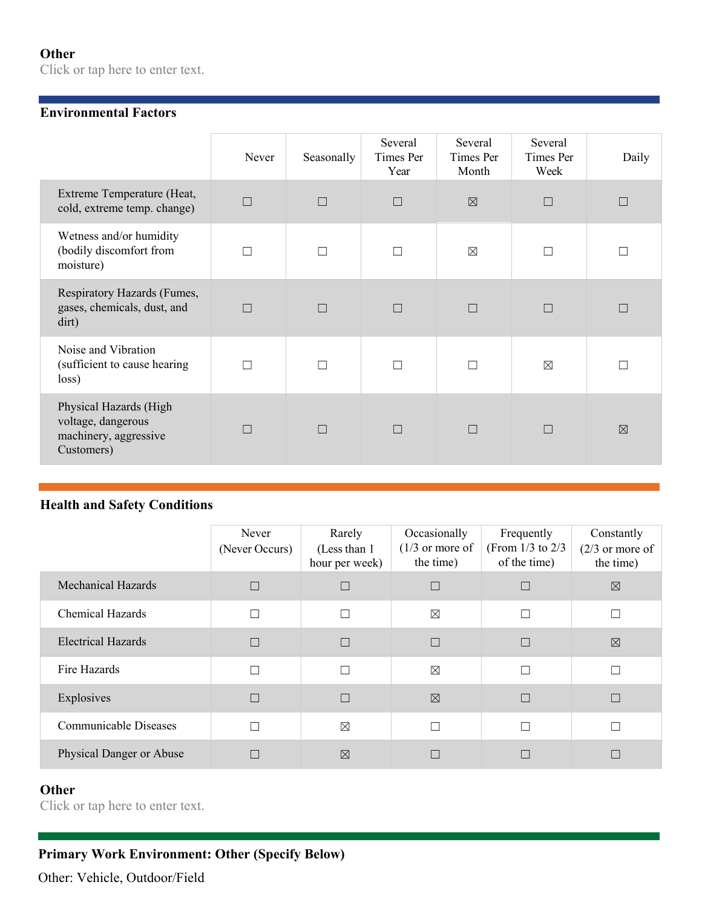#### **Other**

Click or tap here to enter text.

#### **Environmental Factors**

|                                                                                     | Never  | Seasonally | Several<br>Times Per<br>Year | Several<br>Times Per<br>Month | Several<br>Times Per<br>Week | Daily    |
|-------------------------------------------------------------------------------------|--------|------------|------------------------------|-------------------------------|------------------------------|----------|
| Extreme Temperature (Heat,<br>cold, extreme temp. change)                           | $\Box$ | $\Box$     | $\Box$                       | $\boxtimes$                   | П                            |          |
| Wetness and/or humidity<br>(bodily discomfort from<br>moisture)                     | $\Box$ |            | П                            | $\boxtimes$                   | П                            |          |
| Respiratory Hazards (Fumes,<br>gases, chemicals, dust, and<br>dirt)                 | $\Box$ | П          | $\Box$                       | П                             | $\Box$                       |          |
| Noise and Vibration<br>(sufficient to cause hearing<br>loss)                        | П      |            | П                            |                               | $\boxtimes$                  |          |
| Physical Hazards (High<br>voltage, dangerous<br>machinery, aggressive<br>Customers) | П      | П          | $\Box$                       | П                             | $\Box$                       | $\nabla$ |

#### **Health and Safety Conditions**

|                           | Never<br>(Never Occurs) | Rarely<br>(Less than 1)<br>hour per week) | Occasionally<br>$(1/3)$ or more of<br>the time) | Frequently<br>(From $1/3$ to $2/3$<br>of the time) | Constantly<br>$(2/3)$ or more of<br>the time) |
|---------------------------|-------------------------|-------------------------------------------|-------------------------------------------------|----------------------------------------------------|-----------------------------------------------|
| <b>Mechanical Hazards</b> |                         | $\Box$                                    |                                                 |                                                    | ⊠                                             |
| <b>Chemical Hazards</b>   |                         | $\Box$                                    | ⊠                                               | П                                                  |                                               |
| <b>Electrical Hazards</b> |                         | $\Box$                                    | П                                               |                                                    | $\boxtimes$                                   |
| Fire Hazards              |                         | $\Box$                                    | $\boxtimes$                                     | П                                                  |                                               |
| Explosives                |                         | $\Box$                                    | $\boxtimes$                                     |                                                    |                                               |
| Communicable Diseases     |                         | $\boxtimes$                               | П                                               | П                                                  |                                               |
| Physical Danger or Abuse  |                         | $\boxtimes$                               |                                                 |                                                    |                                               |

## **Other**

Click or tap here to enter text.

## **Primary Work Environment: Other (Specify Below)**

Other: Vehicle, Outdoor/Field